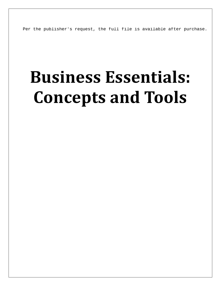Per the publisher's request, the full file is available after purchase.

## **Business Essentials: Concepts and Tools**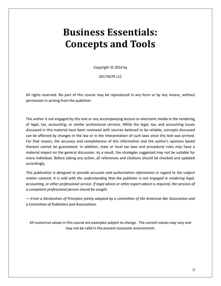## **Business Essentials: Concepts and Tools**

Copyright  $©$  2014 by

DELTACPE LLC

All rights reserved. No part of this course may be reproduced in any form or by any means, without permission in writing from the publisher.

The author is not engaged by this text or any accompanying lecture or electronic media in the rendering of legal, tax, accounting, or similar professional services. While the legal, tax, and accounting issues discussed in this material have been reviewed with sources believed to be reliable, concepts discussed can be affected by changes in the law or in the interpretation of such laws since this text was printed. For that reason, the accuracy and completeness of this information and the author's opinions based thereon cannot be guaranteed. In addition, state or local tax laws and procedural rules may have a material impact on the general discussion. As a result, the strategies suggested may not be suitable for every individual. Before taking any action, all references and citations should be checked and updated accordingly.

*This publication is designed to provide accurate and authoritative information in regard to the subject matter covered. It is sold with the understanding that the publisher is not engaged in rendering legal, accounting, or other professional service. If legal advice or other expert advice is required, the services of a competent professional person should be sought.*

*—-From a Declaration of Principles jointly adopted by a committee of the American Bar Association and a Committee of Publishers and Associations.*

All numerical values in this course are examples subject to change. The current values may vary and may not be valid in the present economic environment.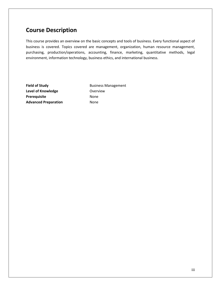## **Course Description**

This course provides an overview on the basic concepts and tools of business. Every functional aspect of business is covered. Topics covered are management, organization, human resource management, purchasing, production/operations, accounting, finance, marketing, quantitative methods, legal environment, information technology, business ethics, and international business.

Level of Knowledge **Contact Contact Act Overview** Prerequisite None **Advanced Preparation** None

**Field of Study** Business Management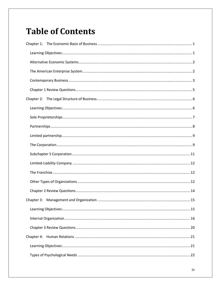## **Table of Contents**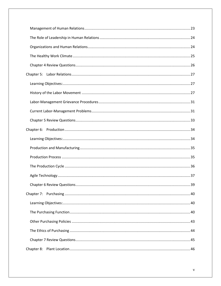| Chapter 7: |  |
|------------|--|
|            |  |
|            |  |
|            |  |
|            |  |
|            |  |
|            |  |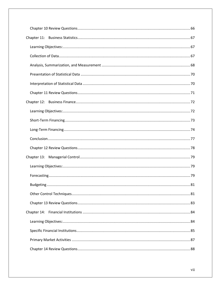| Chapter 13: |
|-------------|
|             |
|             |
|             |
|             |
|             |
|             |
|             |
|             |
|             |
|             |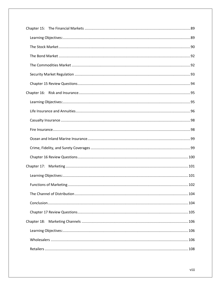| Chapter 17: |  |
|-------------|--|
|             |  |
|             |  |
|             |  |
|             |  |
|             |  |
| Chapter 18: |  |
|             |  |
|             |  |
|             |  |